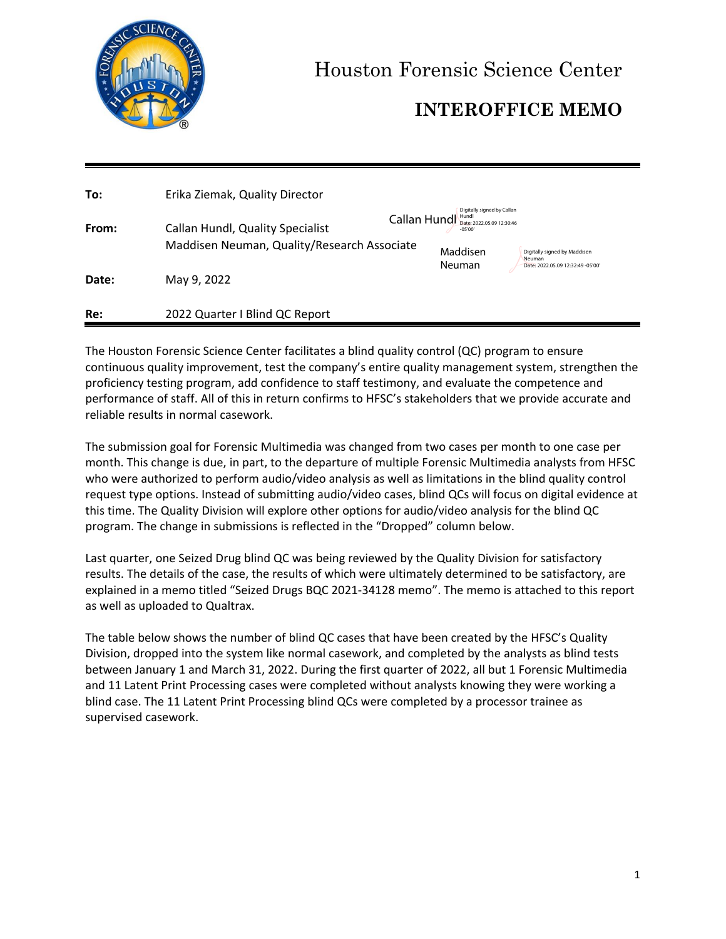

Houston Forensic Science Center

# **INTEROFFICE MEMO**

| To:   | Erika Ziemak, Quality Director                                                  |                                                                                                         |                                             |
|-------|---------------------------------------------------------------------------------|---------------------------------------------------------------------------------------------------------|---------------------------------------------|
| From: | Callan Hundl, Quality Specialist<br>Maddisen Neuman, Quality/Research Associate | Digitally signed by Callan<br>Callan Hund <sub>Date: 2022.05.09 12:30:46</sub><br>$-05'00'$<br>Maddisen | Digitally signed by Maddisen                |
| Date: | May 9, 2022                                                                     | <b>Neuman</b>                                                                                           | Neuman<br>Date: 2022.05.09 12:32:49 -05'00' |
| Re:   | 2022 Quarter I Blind QC Report                                                  |                                                                                                         |                                             |

The Houston Forensic Science Center facilitates a blind quality control (QC) program to ensure continuous quality improvement, test the company's entire quality management system, strengthen the proficiency testing program, add confidence to staff testimony, and evaluate the competence and performance of staff. All of this in return confirms to HFSC's stakeholders that we provide accurate and reliable results in normal casework.

The submission goal for Forensic Multimedia was changed from two cases per month to one case per month. This change is due, in part, to the departure of multiple Forensic Multimedia analysts from HFSC who were authorized to perform audio/video analysis as well as limitations in the blind quality control request type options. Instead of submitting audio/video cases, blind QCs will focus on digital evidence at this time. The Quality Division will explore other options for audio/video analysis for the blind QC program. The change in submissions is reflected in the "Dropped" column below.

Last quarter, one Seized Drug blind QC was being reviewed by the Quality Division for satisfactory results. The details of the case, the results of which were ultimately determined to be satisfactory, are explained in a memo titled "Seized Drugs BQC 2021-34128 memo". The memo is attached to this report as well as uploaded to Qualtrax.

The table below shows the number of blind QC cases that have been created by the HFSC's Quality Division, dropped into the system like normal casework, and completed by the analysts as blind tests between January 1 and March 31, 2022. During the first quarter of 2022, all but 1 Forensic Multimedia and 11 Latent Print Processing cases were completed without analysts knowing they were working a blind case. The 11 Latent Print Processing blind QCs were completed by a processor trainee as supervised casework.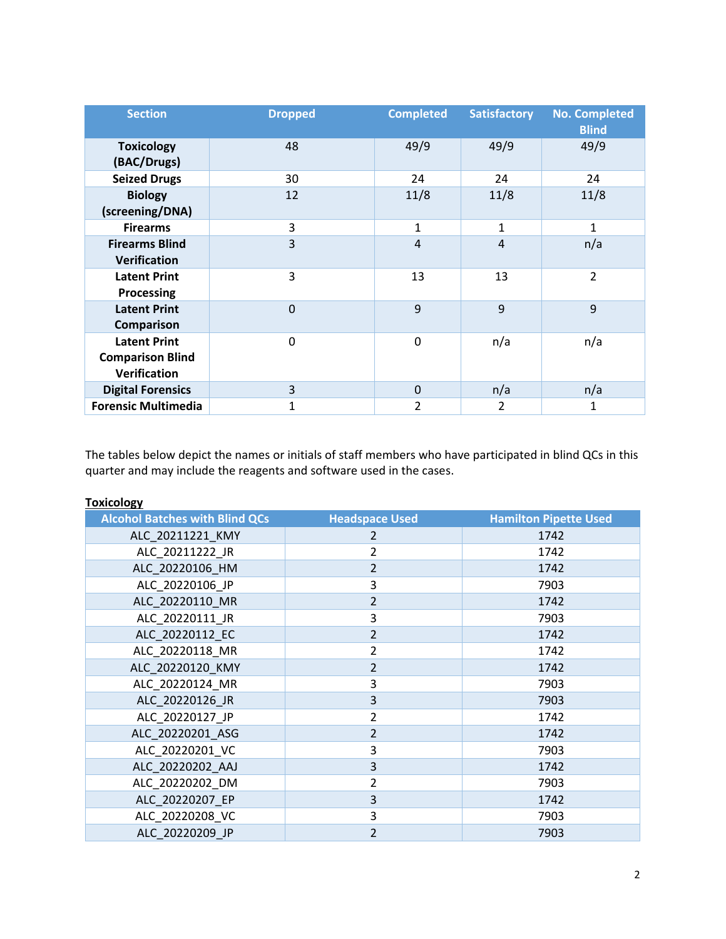| <b>Section</b>                                                        | <b>Dropped</b> | <b>Completed</b> | <b>Satisfactory</b> | <b>No. Completed</b><br><b>Blind</b> |
|-----------------------------------------------------------------------|----------------|------------------|---------------------|--------------------------------------|
| <b>Toxicology</b><br>(BAC/Drugs)                                      | 48             | 49/9             | 49/9                | 49/9                                 |
| <b>Seized Drugs</b>                                                   | 30             | 24               | 24                  | 24                                   |
| <b>Biology</b><br>(screening/DNA)                                     | 12             | 11/8             | 11/8                | 11/8                                 |
| <b>Firearms</b>                                                       | 3              | $\mathbf{1}$     | 1                   | $\mathbf{1}$                         |
| <b>Firearms Blind</b><br><b>Verification</b>                          | 3              | $\overline{4}$   | $\overline{4}$      | n/a                                  |
| <b>Latent Print</b><br><b>Processing</b>                              | 3              | 13               | 13                  | $\overline{2}$                       |
| <b>Latent Print</b><br><b>Comparison</b>                              | $\mathbf 0$    | 9                | 9                   | 9                                    |
| <b>Latent Print</b><br><b>Comparison Blind</b><br><b>Verification</b> | $\Omega$       | 0                | n/a                 | n/a                                  |
| <b>Digital Forensics</b>                                              | 3              | $\Omega$         | n/a                 | n/a                                  |
| <b>Forensic Multimedia</b>                                            |                | 2                | 2                   | 1                                    |

The tables below depict the names or initials of staff members who have participated in blind QCs in this quarter and may include the reagents and software used in the cases.

| <b>IUAILUIUKY</b>                     |                       |                              |
|---------------------------------------|-----------------------|------------------------------|
| <b>Alcohol Batches with Blind QCs</b> | <b>Headspace Used</b> | <b>Hamilton Pipette Used</b> |
| ALC_20211221_KMY                      | $\mathcal{P}$         | 1742                         |
| ALC 20211222 JR                       | $\overline{2}$        | 1742                         |
| ALC 20220106 HM                       | 2                     | 1742                         |
| ALC 20220106 JP                       | 3                     | 7903                         |
| ALC 20220110 MR                       | $\overline{2}$        | 1742                         |
| ALC 20220111 JR                       | 3                     | 7903                         |
| ALC 20220112 EC                       | $\overline{2}$        | 1742                         |
| ALC 20220118 MR                       | $\overline{2}$        | 1742                         |
| ALC_20220120_KMY                      | 2                     | 1742                         |
| ALC 20220124 MR                       | 3                     | 7903                         |
| ALC_20220126_JR                       | 3                     | 7903                         |
| ALC 20220127 JP                       | 2                     | 1742                         |
| ALC 20220201 ASG                      | $\overline{2}$        | 1742                         |
| ALC 20220201 VC                       | 3                     | 7903                         |
| ALC_20220202_AAJ                      | 3                     | 1742                         |
| ALC 20220202 DM                       | 2                     | 7903                         |
| ALC_20220207_EP                       | 3                     | 1742                         |
| ALC 20220208 VC                       | 3                     | 7903                         |
| ALC 20220209 JP                       | 2                     | 7903                         |

#### **Toxicology**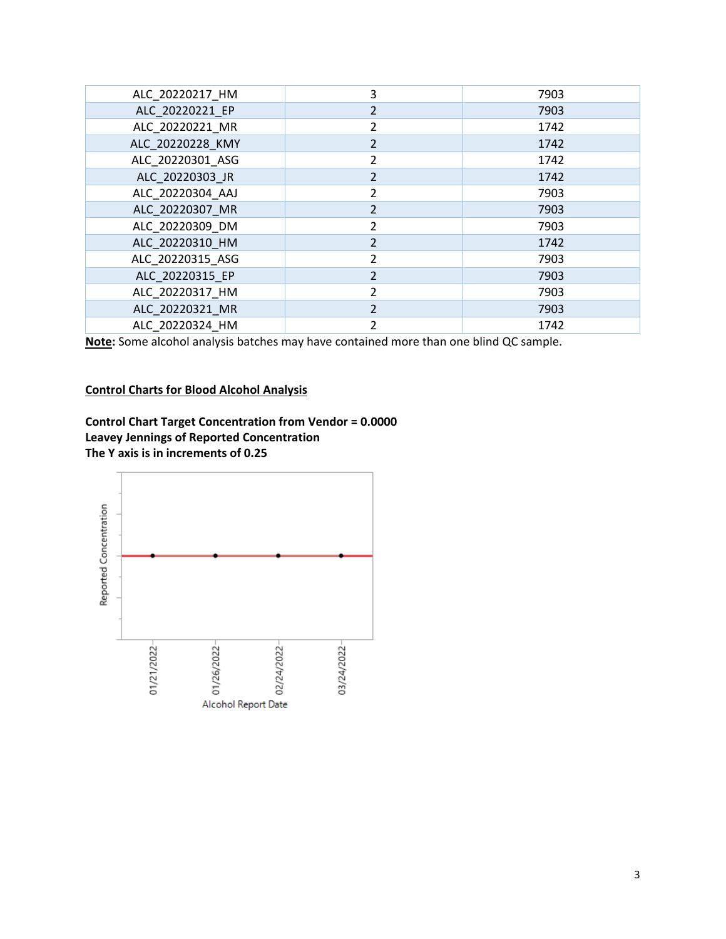| ALC 20220217 HM  | 3              | 7903 |
|------------------|----------------|------|
| ALC 20220221 EP  | 2              | 7903 |
| ALC 20220221 MR  | $\overline{2}$ | 1742 |
| ALC 20220228 KMY | 2              | 1742 |
| ALC 20220301 ASG | $\mathcal{P}$  | 1742 |
| ALC 20220303 JR  | $\overline{2}$ | 1742 |
| ALC 20220304 AAJ | $\overline{2}$ | 7903 |
| ALC 20220307 MR  | $\overline{2}$ | 7903 |
| ALC 20220309 DM  | $\overline{2}$ | 7903 |
| ALC 20220310 HM  | $\mathfrak{D}$ | 1742 |
| ALC 20220315 ASG | $\mathcal{P}$  | 7903 |
| ALC 20220315 EP  | $\mathcal{P}$  | 7903 |
| ALC 20220317 HM  | $\mathfrak{p}$ | 7903 |
| ALC_20220321_MR  | $\mathcal{P}$  | 7903 |
| ALC 20220324 HM  | $\mathfrak z$  | 1742 |

**Note:** Some alcohol analysis batches may have contained more than one blind QC sample.

## **Control Charts for Blood Alcohol Analysis**



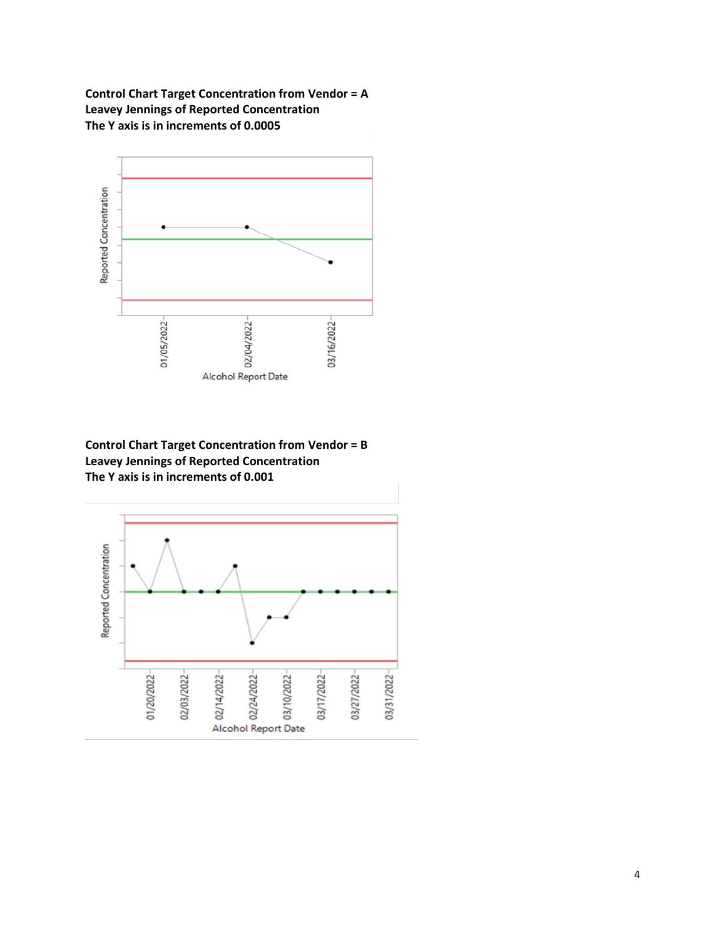**Control Chart Target Concentration from Vendor = A Leavey Jennings of Reported Concentration The Y axis is in increments of 0.0005**



**Control Chart Target Concentration from Vendor = B Leavey Jennings of Reported Concentration The Y axis is in increments of 0.001**

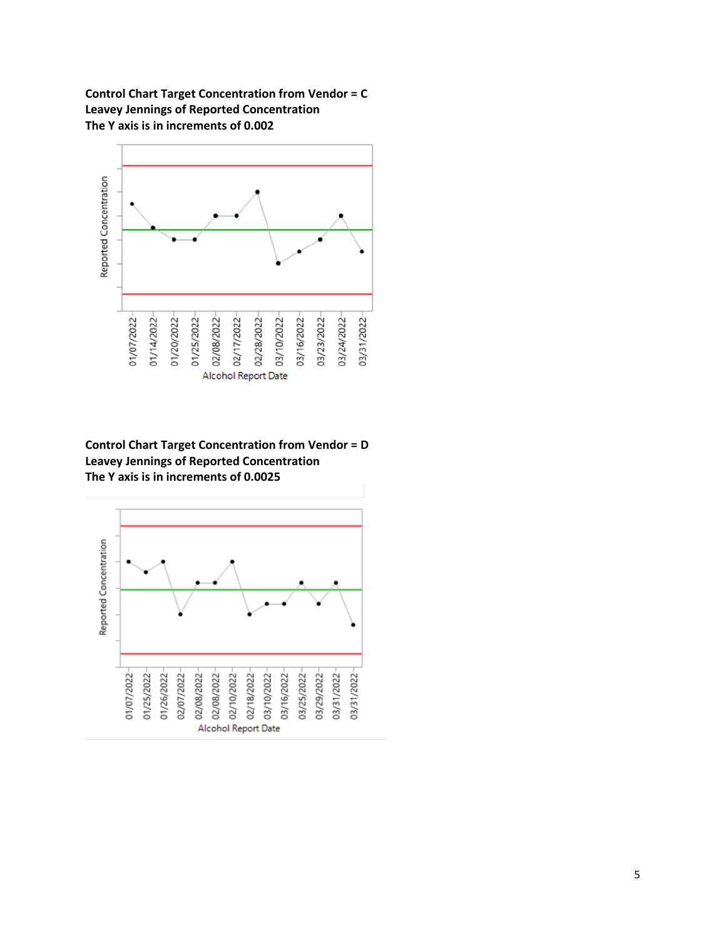**Control Chart Target Concentration from Vendor = C Leavey Jennings of Reported Concentration The Y axis is in increments of 0.002**



**Control Chart Target Concentration from Vendor = D Leavey Jennings of Reported Concentration The Y axis is in increments of 0.0025**

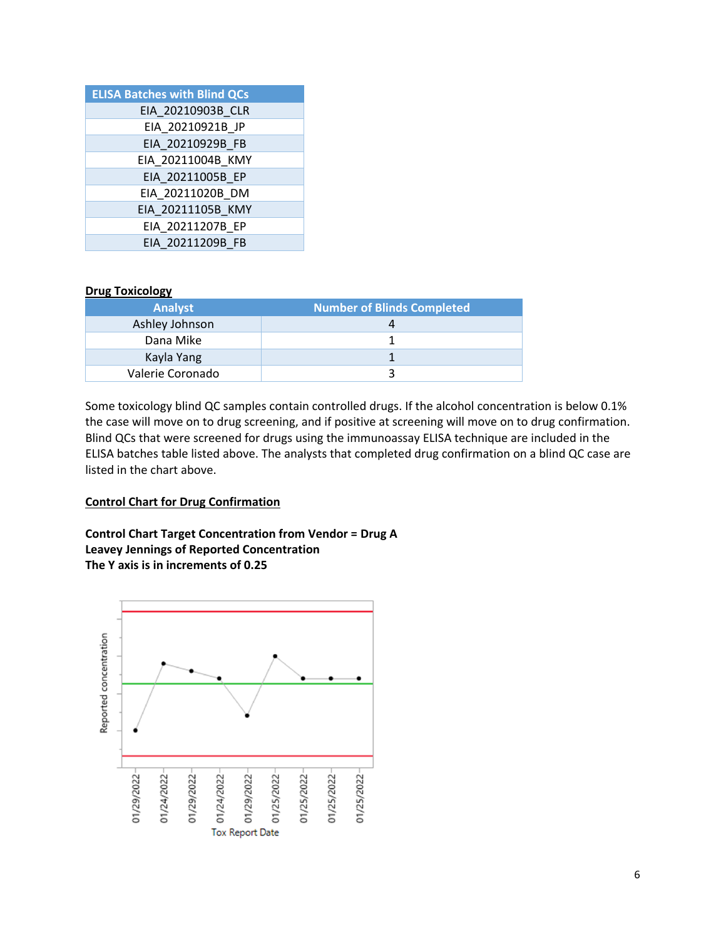| <b>ELISA Batches with Blind QCs</b> |
|-------------------------------------|
| EIA 20210903B CLR                   |
| EIA 20210921B JP                    |
| EIA 20210929B FB                    |
| EIA 20211004B KMY                   |
| EIA 20211005B EP                    |
| EIA 20211020B DM                    |
| EIA 20211105B_KMY                   |
| EIA 20211207B EP                    |
| EIA 20211209B FB                    |

#### **Drug Toxicology**

| <b>Analyst</b>   | <b>Number of Blinds Completed</b> |
|------------------|-----------------------------------|
| Ashley Johnson   |                                   |
| Dana Mike        |                                   |
| Kayla Yang       |                                   |
| Valerie Coronado |                                   |

Some toxicology blind QC samples contain controlled drugs. If the alcohol concentration is below 0.1% the case will move on to drug screening, and if positive at screening will move on to drug confirmation. Blind QCs that were screened for drugs using the immunoassay ELISA technique are included in the ELISA batches table listed above. The analysts that completed drug confirmation on a blind QC case are listed in the chart above.

#### **Control Chart for Drug Confirmation**

**Control Chart Target Concentration from Vendor = Drug A Leavey Jennings of Reported Concentration The Y axis is in increments of 0.25**

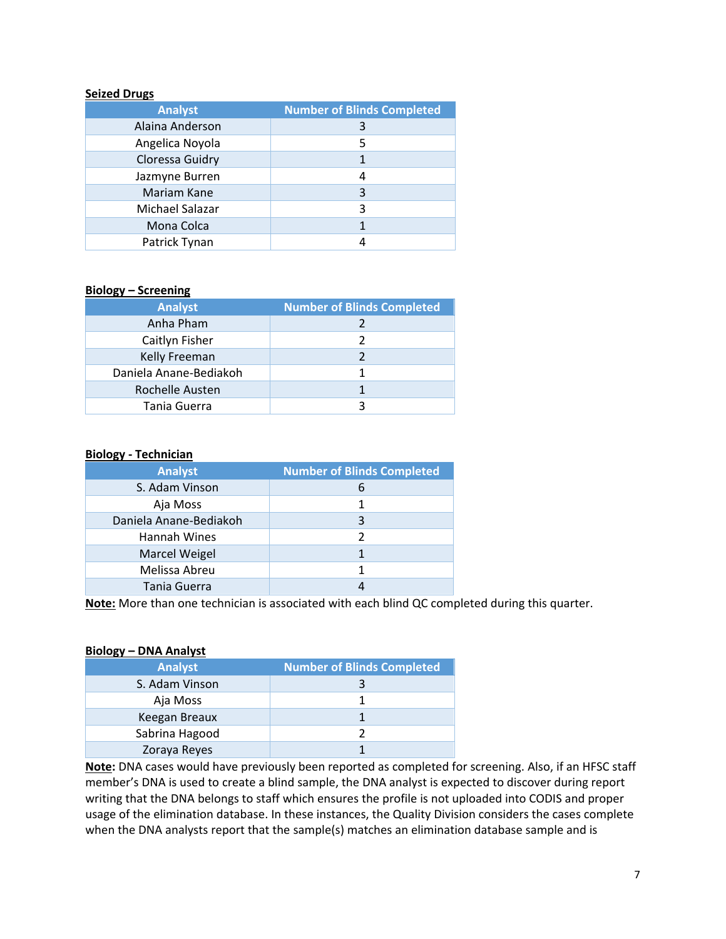#### **Seized Drugs**

| <b>Analyst</b>  | <b>Number of Blinds Completed</b> |
|-----------------|-----------------------------------|
| Alaina Anderson | 3                                 |
| Angelica Noyola | 5                                 |
| Cloressa Guidry |                                   |
| Jazmyne Burren  | 4                                 |
| Mariam Kane     | 3                                 |
| Michael Salazar | 3                                 |
| Mona Colca      |                                   |
| Patrick Tynan   |                                   |

#### **Biology – Screening**

| <b>Analyst</b>         | <b>Number of Blinds Completed</b> |  |  |
|------------------------|-----------------------------------|--|--|
| Anha Pham              |                                   |  |  |
| Caitlyn Fisher         |                                   |  |  |
| Kelly Freeman          |                                   |  |  |
| Daniela Anane-Bediakoh |                                   |  |  |
| Rochelle Austen        |                                   |  |  |
| Tania Guerra           |                                   |  |  |

#### **Biology - Technician**

| <b>Analyst</b>         | <b>Number of Blinds Completed</b> |
|------------------------|-----------------------------------|
| S. Adam Vinson         | 6                                 |
| Aja Moss               | 1                                 |
| Daniela Anane-Bediakoh | 3                                 |
| Hannah Wines           |                                   |
| <b>Marcel Weigel</b>   |                                   |
| Melissa Abreu          |                                   |
| Tania Guerra           |                                   |

**Note:** More than one technician is associated with each blind QC completed during this quarter.

#### **Biology – DNA Analyst**

| <b>Analyst</b> | <b>Number of Blinds Completed</b> |
|----------------|-----------------------------------|
| S. Adam Vinson |                                   |
| Aja Moss       |                                   |
| Keegan Breaux  |                                   |
| Sabrina Hagood |                                   |
| Zoraya Reyes   |                                   |

**Note:** DNA cases would have previously been reported as completed for screening. Also, if an HFSC staff member's DNA is used to create a blind sample, the DNA analyst is expected to discover during report writing that the DNA belongs to staff which ensures the profile is not uploaded into CODIS and proper usage of the elimination database. In these instances, the Quality Division considers the cases complete when the DNA analysts report that the sample(s) matches an elimination database sample and is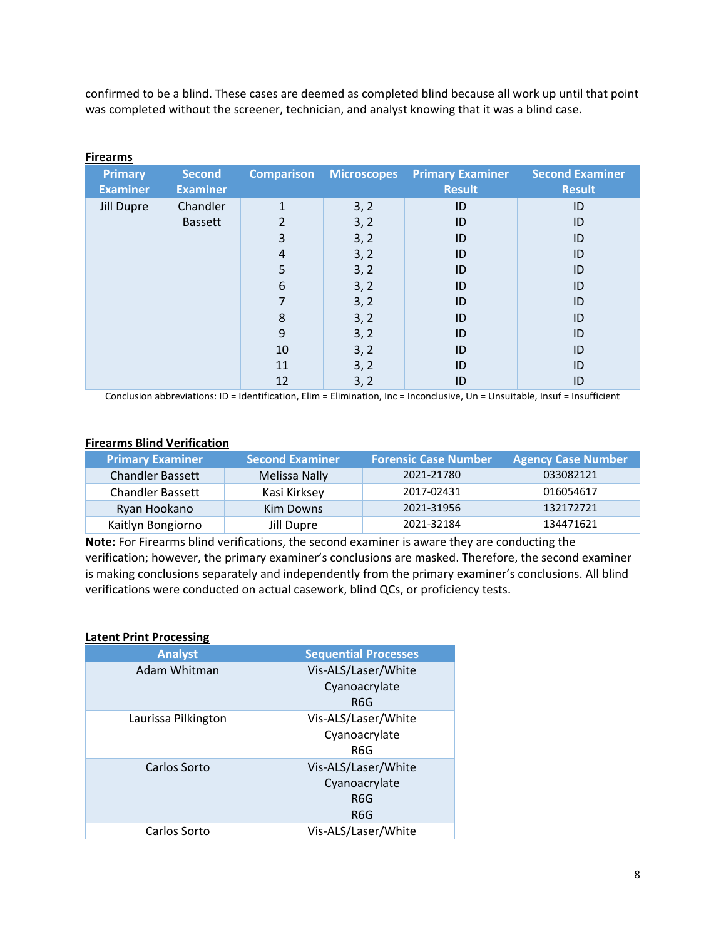confirmed to be a blind. These cases are deemed as completed blind because all work up until that point was completed without the screener, technician, and analyst knowing that it was a blind case.

| <b>Primary</b><br><b>Examiner</b> | <b>Second</b><br><b>Examiner</b> | <b>Comparison</b> | Microscopes | <b>Primary Examiner</b><br><b>Result</b> | <b>Second Examiner</b><br><b>Result</b> |
|-----------------------------------|----------------------------------|-------------------|-------------|------------------------------------------|-----------------------------------------|
|                                   |                                  |                   |             |                                          |                                         |
| Jill Dupre                        | Chandler                         | 1                 | 3, 2        | ID                                       | ID                                      |
|                                   | <b>Bassett</b>                   | $\overline{2}$    | 3, 2        | ID                                       | ID                                      |
|                                   |                                  | 3                 | 3, 2        | ID                                       | ID                                      |
|                                   |                                  | 4                 | 3, 2        | ID                                       | ID                                      |
|                                   |                                  | 5                 | 3, 2        | ID                                       | ID                                      |
|                                   |                                  | 6                 | 3, 2        | ID                                       | ID                                      |
|                                   |                                  | 7                 | 3, 2        | ID                                       | ID                                      |
|                                   |                                  | 8                 | 3, 2        | ID                                       | ID                                      |
|                                   |                                  | 9                 | 3, 2        | ID                                       | ID                                      |
|                                   |                                  | 10                | 3, 2        | ID                                       | ID                                      |
|                                   |                                  | 11                | 3, 2        | ID                                       | ID                                      |
|                                   |                                  | 12                | 3, 2        | ID                                       | ID                                      |

#### **Firearms**

Conclusion abbreviations: ID = Identification, Elim = Elimination, Inc = Inconclusive, Un = Unsuitable, Insuf = Insufficient

#### **Firearms Blind Verification**

| <b>Primary Examiner</b> | <b>Second Examiner</b> | <b>Forensic Case Number</b> | <b>Agency Case Number</b> |
|-------------------------|------------------------|-----------------------------|---------------------------|
| <b>Chandler Bassett</b> | <b>Melissa Nally</b>   | 2021-21780                  | 033082121                 |
| <b>Chandler Bassett</b> | Kasi Kirksey           | 2017-02431                  | 016054617                 |
| Ryan Hookano            | Kim Downs              | 2021-31956                  | 132172721                 |
| Kaitlyn Bongiorno       | Jill Dupre             | 2021-32184                  | 134471621                 |

**Note:** For Firearms blind verifications, the second examiner is aware they are conducting the verification; however, the primary examiner's conclusions are masked. Therefore, the second examiner is making conclusions separately and independently from the primary examiner's conclusions. All blind verifications were conducted on actual casework, blind QCs, or proficiency tests.

#### **Latent Print Processing**

| <b>Analyst</b>      | <b>Sequential Processes</b>                        |
|---------------------|----------------------------------------------------|
| Adam Whitman        | Vis-ALS/Laser/White<br>Cyanoacrylate<br>R6G        |
| Laurissa Pilkington | Vis-ALS/Laser/White<br>Cyanoacrylate<br>R6G        |
| Carlos Sorto        | Vis-ALS/Laser/White<br>Cyanoacrylate<br>R6G<br>R6G |
| Carlos Sorto        | Vis-ALS/Laser/White                                |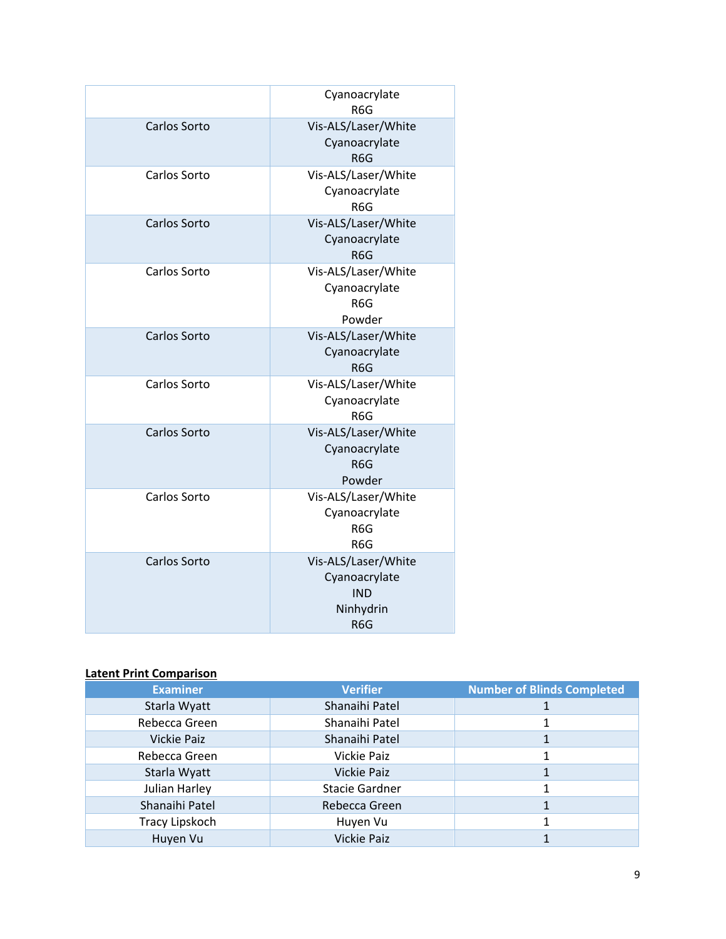|              | Cyanoacrylate<br>R <sub>6</sub> G                                                   |
|--------------|-------------------------------------------------------------------------------------|
| Carlos Sorto | Vis-ALS/Laser/White<br>Cyanoacrylate<br>R <sub>6</sub> G                            |
| Carlos Sorto | Vis-ALS/Laser/White<br>Cyanoacrylate<br>R <sub>6</sub> G                            |
| Carlos Sorto | Vis-ALS/Laser/White<br>Cyanoacrylate<br>R <sub>6</sub> G                            |
| Carlos Sorto | Vis-ALS/Laser/White<br>Cyanoacrylate<br>R <sub>6</sub> G<br>Powder                  |
| Carlos Sorto | Vis-ALS/Laser/White<br>Cyanoacrylate<br>R <sub>6</sub> G                            |
| Carlos Sorto | Vis-ALS/Laser/White<br>Cyanoacrylate<br>R <sub>6</sub> G                            |
| Carlos Sorto | Vis-ALS/Laser/White<br>Cyanoacrylate<br>R <sub>6</sub> G<br>Powder                  |
| Carlos Sorto | Vis-ALS/Laser/White<br>Cyanoacrylate<br>R6G<br>R6G                                  |
| Carlos Sorto | Vis-ALS/Laser/White<br>Cyanoacrylate<br><b>IND</b><br>Ninhydrin<br>R <sub>6</sub> G |

# **Latent Print Comparison**

| <b>Examiner</b>    | <b>Verifier</b>       | <b>Number of Blinds Completed</b> |
|--------------------|-----------------------|-----------------------------------|
| Starla Wyatt       | Shanaihi Patel        |                                   |
| Rebecca Green      | Shanaihi Patel        |                                   |
| <b>Vickie Paiz</b> | Shanaihi Patel        |                                   |
| Rebecca Green      | <b>Vickie Paiz</b>    |                                   |
| Starla Wyatt       | <b>Vickie Paiz</b>    |                                   |
| Julian Harley      | <b>Stacie Gardner</b> |                                   |
| Shanaihi Patel     | Rebecca Green         |                                   |
| Tracy Lipskoch     | Huyen Vu              |                                   |
| Huyen Vu           | <b>Vickie Paiz</b>    |                                   |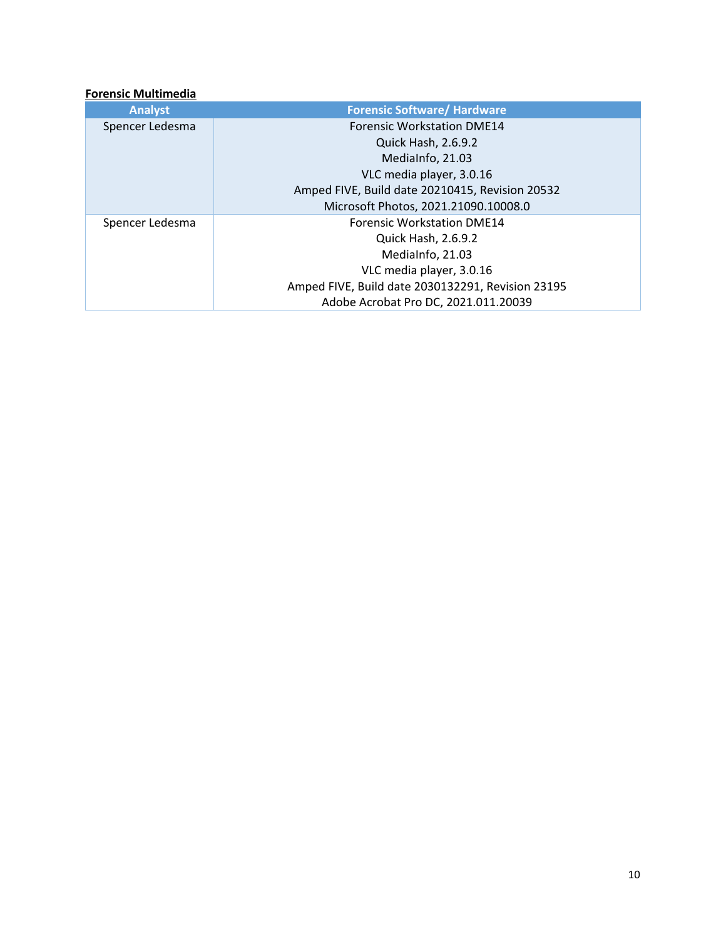## **Forensic Multimedia**

| <b>Analyst</b>  | <b>Forensic Software/ Hardware</b>                |
|-----------------|---------------------------------------------------|
| Spencer Ledesma | <b>Forensic Workstation DME14</b>                 |
|                 | <b>Quick Hash, 2.6.9.2</b>                        |
|                 | MediaInfo, 21.03                                  |
|                 | VLC media player, 3.0.16                          |
|                 | Amped FIVE, Build date 20210415, Revision 20532   |
|                 | Microsoft Photos, 2021.21090.10008.0              |
| Spencer Ledesma | <b>Forensic Workstation DME14</b>                 |
|                 | Quick Hash, 2.6.9.2                               |
|                 | MediaInfo, 21.03                                  |
|                 | VLC media player, 3.0.16                          |
|                 | Amped FIVE, Build date 2030132291, Revision 23195 |
|                 | Adobe Acrobat Pro DC, 2021.011.20039              |